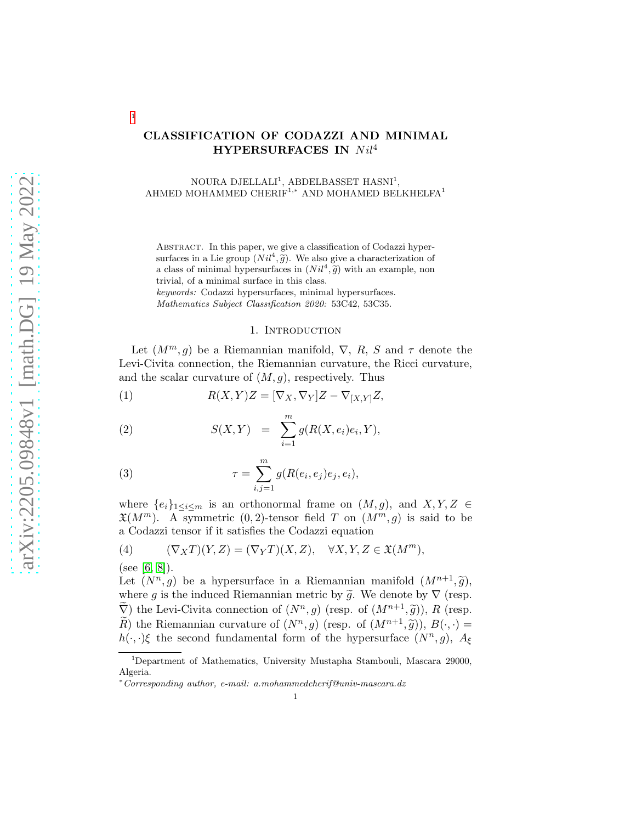# arXiv:2205.09848v1 [math.DG] 19 May 2022 [arXiv:2205.09848v1 \[math.DG\] 19 May 2022](http://arxiv.org/abs/2205.09848v1)

# CLASSIFICATION OF CODAZZI AND MINIMAL HYPERSURFACES IN  $Nil^4$

NOURA DJELLALI<sup>1</sup>, ABDELBASSET HASNI<sup>1</sup>, AHMED MOHAMMED CHERIF<sup>1,\*</sup> AND MOHAMED BELKHELFA<sup>1</sup>

ABSTRACT. In this paper, we give a classification of Codazzi hypersurfaces in a Lie group  $(Nil^4, \tilde{g})$ . We also give a characterization of a class of minimal hypersurfaces in  $(Nil^4, \tilde{g})$  with an example, non trivial, of a minimal surface in this class.

keywords: Codazzi hypersurfaces, minimal hypersurfaces. Mathematics Subject Classification 2020: 53C42, 53C35.

## <span id="page-0-1"></span>1. Introduction

Let  $(M^m, g)$  be a Riemannian manifold,  $\nabla$ , R, S and  $\tau$  denote the Levi-Civita connection, the Riemannian curvature, the Ricci curvature, and the scalar curvature of  $(M, g)$ , respectively. Thus

(1) 
$$
R(X,Y)Z = [\nabla_X, \nabla_Y]Z - \nabla_{[X,Y]}Z,
$$

(2) 
$$
S(X,Y) = \sum_{i=1}^{m} g(R(X,e_i)e_i, Y),
$$

(3) 
$$
\tau = \sum_{i,j=1}^{m} g(R(e_i, e_j)e_j, e_i),
$$

where  $\{e_i\}_{1\leq i\leq m}$  is an orthonormal frame on  $(M, g)$ , and  $X, Y, Z \in$  $\mathfrak{X}(M^m)$ . A symmetric  $(0, 2)$ -tensor field T on  $(M^m, g)$  is said to be a Codazzi tensor if it satisfies the Codazzi equation

(4) 
$$
(\nabla_X T)(Y,Z) = (\nabla_Y T)(X,Z), \quad \forall X,Y,Z \in \mathfrak{X}(M^m),
$$

(see [\[6,](#page-8-0) [8\]](#page-8-1)).

[1](#page-0-0)

Let  $(N^n, g)$  be a hypersurface in a Riemannian manifold  $(M^{n+1}, \tilde{g})$ , where g is the induced Riemannian metric by  $\tilde{g}$ . We denote by  $\nabla$  (resp.  $\widetilde{\nabla}$ ) the Levi-Civita connection of  $(N^n, g)$  (resp. of  $(M^{n+1}, \widetilde{g})$ ), R (resp.  $\widetilde{R}$ ) the Riemannian curvature of  $(N^n, g)$  (resp. of  $(M^{n+1}, \widetilde{g})$ ),  $B(\cdot, \cdot) =$  $h(\cdot, \cdot)$ ξ the second fundamental form of the hypersurface  $(N^n, g)$ ,  $A_{\xi}$ 

<span id="page-0-0"></span><sup>1</sup>Department of Mathematics, University Mustapha Stambouli, Mascara 29000, Algeria.

<sup>∗</sup>Corresponding author, e-mail: a.mohammedcherif@univ-mascara.dz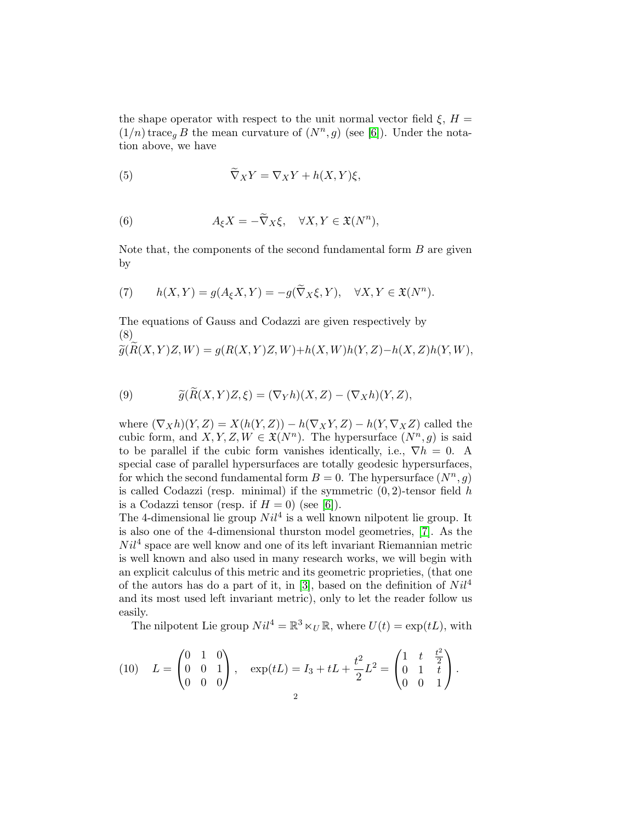the shape operator with respect to the unit normal vector field  $\xi$ ,  $H =$  $(1/n)$  trace<sub>g</sub> B the mean curvature of  $(N<sup>n</sup>, g)$  (see [\[6\]](#page-8-0)). Under the notation above, we have

(5) 
$$
\widetilde{\nabla}_X Y = \nabla_X Y + h(X, Y)\xi,
$$

(6) 
$$
A_{\xi}X = -\widetilde{\nabla}_X \xi, \quad \forall X, Y \in \mathfrak{X}(N^n),
$$

Note that, the components of the second fundamental form  $B$  are given by

(7) 
$$
h(X,Y) = g(A_{\xi}X,Y) = -g(\widetilde{\nabla}_X\xi,Y), \quad \forall X,Y \in \mathfrak{X}(N^n).
$$

The equations of Gauss and Codazzi are given respectively by (8)

$$
\widetilde{g}(\widetilde{R}(X,Y)Z,W) = g(R(X,Y)Z,W) + h(X,W)h(Y,Z) - h(X,Z)h(Y,W),
$$

<span id="page-1-0"></span>(9) 
$$
\widetilde{g}(\widetilde{R}(X,Y)Z,\xi)=(\nabla_Y h)(X,Z)-(\nabla_X h)(Y,Z),
$$

where  $(\nabla_X h)(Y, Z) = X(h(Y, Z)) - h(\nabla_X Y, Z) - h(Y, \nabla_X Z)$  called the cubic form, and  $X, Y, Z, W \in \mathfrak{X}(N^n)$ . The hypersurface  $(N^n, g)$  is said to be parallel if the cubic form vanishes identically, i.e.,  $\nabla h = 0$ . A special case of parallel hypersurfaces are totally geodesic hypersurfaces, for which the second fundamental form  $B = 0$ . The hypersurface  $(N^n, g)$ is called Codazzi (resp. minimal) if the symmetric  $(0, 2)$ -tensor field h is a Codazzi tensor (resp. if  $H = 0$ ) (see [\[6\]](#page-8-0)).

The 4-dimensional lie group  $Nil^4$  is a well known nilpotent lie group. It is also one of the 4-dimensional thurston model geometries, [\[7\]](#page-8-2). As the  $Nil<sup>4</sup>$  space are well know and one of its left invariant Riemannian metric is well known and also used in many research works, we will begin with an explicit calculus of this metric and its geometric proprieties, (that one of the autors has do a part of it, in [\[3\]](#page-8-3), based on the definition of  $Nil^4$ and its most used left invariant metric), only to let the reader follow us easily.

The nilpotent Lie group  $Nil^4 = \mathbb{R}^3 \ltimes_U \mathbb{R}$ , where  $U(t) = \exp(tL)$ , with

(10) 
$$
L = \begin{pmatrix} 0 & 1 & 0 \\ 0 & 0 & 1 \\ 0 & 0 & 0 \end{pmatrix}, \quad \exp(tL) = I_3 + tL + \frac{t^2}{2}L^2 = \begin{pmatrix} 1 & t & \frac{t^2}{2} \\ 0 & 1 & t \\ 0 & 0 & 1 \end{pmatrix}.
$$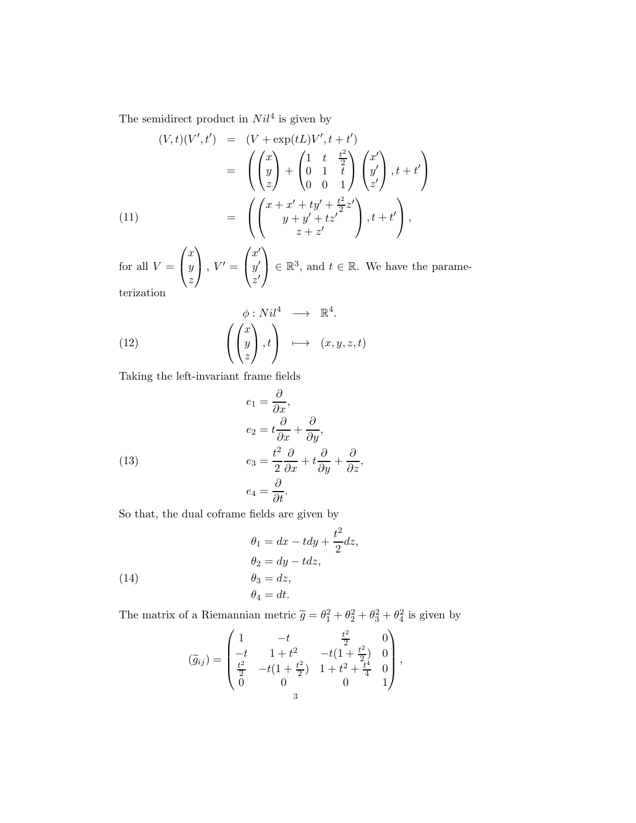The semidirect product in  $Nil^4$  is given by

$$
(V,t)(V',t') = (V + \exp(tL)V', t+t')
$$
  
\n
$$
= \left( \begin{pmatrix} x \\ y \\ z \end{pmatrix} + \begin{pmatrix} 1 & t & \frac{t^2}{2} \\ 0 & 1 & t \\ 0 & 0 & 1 \end{pmatrix} \begin{pmatrix} x' \\ y' \\ z' \end{pmatrix}, t+t' \right)
$$
  
\n(11)  
\n
$$
= \left( \begin{pmatrix} x + x' + ty' + \frac{t^2}{2}z' \\ y + y' + tz' \end{pmatrix}, t+t' \right),
$$

for all  $V =$  $\sqrt{ }$  $\mathbf{I}$  $\boldsymbol{x}$  $\hat{y}$ z  $\setminus$  $\bigg\}$ ,  $V' =$  $\sqrt{ }$  $\mathbf{I}$  $x^{\prime}$  $y^{\prime}$  $z'$  $\setminus$  $\Big\} \in \mathbb{R}^3$ , and  $t \in \mathbb{R}$ . We have the parameterization

(12) 
$$
\phi: Nil^{4} \longrightarrow \mathbb{R}^{4}.
$$

$$
\left(\begin{pmatrix} x \\ y \\ z \end{pmatrix}, t\right) \longmapsto (x, y, z, t)
$$

Taking the left-invariant frame fields

<span id="page-2-0"></span>(13)  
\n
$$
e_1 = \frac{\partial}{\partial x},
$$
\n
$$
e_2 = t\frac{\partial}{\partial x} + \frac{\partial}{\partial y},
$$
\n
$$
e_3 = \frac{t^2}{2}\frac{\partial}{\partial x} + t\frac{\partial}{\partial y} + \frac{\partial}{\partial z},
$$
\n
$$
e_4 = \frac{\partial}{\partial t}.
$$

So that, the dual coframe fields are given by

(14)  
\n
$$
\theta_1 = dx - t dy + \frac{t^2}{2} dz,
$$
\n
$$
\theta_2 = dy - t dz,
$$
\n
$$
\theta_3 = dz,
$$
\n
$$
\theta_4 = dt.
$$

The matrix of a Riemannian metric  $\tilde{g} = \theta_1^2 + \theta_2^2 + \theta_3^2 + \theta_4^2$  is given by

$$
(\widetilde{g}_{ij}) = \begin{pmatrix} 1 & -t & \frac{t^2}{2} & 0 \\ -t & 1+t^2 & -t(1+\frac{t^2}{2}) & 0 \\ \frac{t^2}{2} & -t(1+\frac{t^2}{2}) & 1+t^2+\frac{t^4}{4} & 0 \\ 0 & 0 & 0 & 1 \end{pmatrix},
$$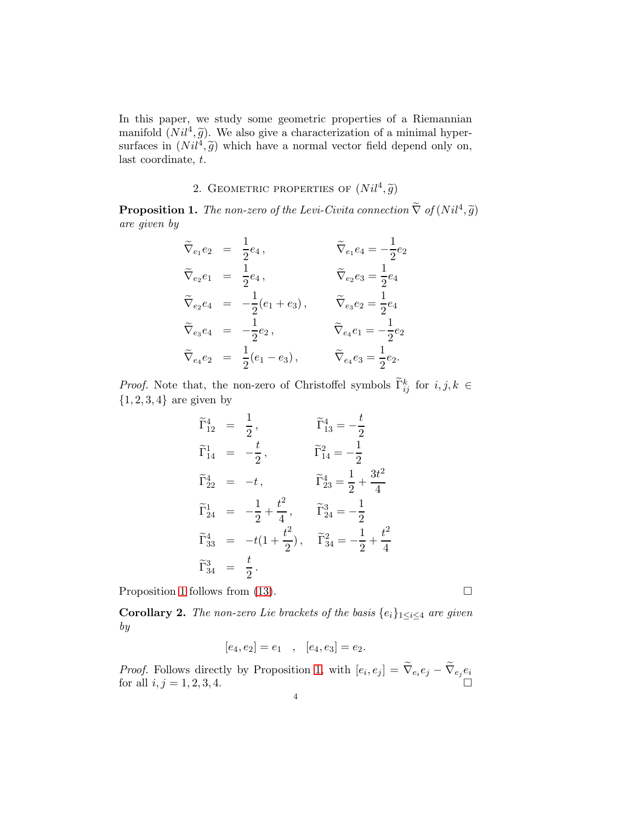In this paper, we study some geometric properties of a Riemannian manifold  $(Nil^4, \tilde{g})$ . We also give a characterization of a minimal hypersurfaces in  $(Nil^4, \tilde{g})$  which have a normal vector field depend only on, last coordinate, t.

# 2. GEOMETRIC PROPERTIES OF  $(Nil^4, \tilde{g})$

<span id="page-3-0"></span>**Proposition 1.** The non-zero of the Levi-Civita connection  $\nabla$  of  $(Nil^4, \tilde{g})$ are given by

$$
\begin{aligned}\n\widetilde{\nabla}_{e_1} e_2 &= \frac{1}{2} e_4, & \widetilde{\nabla}_{e_1} e_4 &= -\frac{1}{2} e_2 \\
\widetilde{\nabla}_{e_2} e_1 &= \frac{1}{2} e_4, & \widetilde{\nabla}_{e_2} e_3 &= \frac{1}{2} e_4 \\
\widetilde{\nabla}_{e_2} e_4 &= -\frac{1}{2} (e_1 + e_3), & \widetilde{\nabla}_{e_3} e_2 &= \frac{1}{2} e_4 \\
\widetilde{\nabla}_{e_3} e_4 &= -\frac{1}{2} e_2, & \widetilde{\nabla}_{e_4} e_1 &= -\frac{1}{2} e_2 \\
\widetilde{\nabla}_{e_4} e_2 &= \frac{1}{2} (e_1 - e_3), & \widetilde{\nabla}_{e_4} e_3 &= \frac{1}{2} e_2.\n\end{aligned}
$$

*Proof.* Note that, the non-zero of Christoffel symbols  $\tilde{\Gamma}_{ij}^k$  for  $i, j, k \in$  $\{1, 2, 3, 4\}$  are given by

$$
\begin{aligned}\n\widetilde{\Gamma}_{12}^4 &= \frac{1}{2}, & \widetilde{\Gamma}_{13}^4 &= -\frac{t}{2} \\
\widetilde{\Gamma}_{14}^1 &= -\frac{t}{2}, & \widetilde{\Gamma}_{14}^2 &= -\frac{1}{2} \\
\widetilde{\Gamma}_{22}^4 &= -t, & \widetilde{\Gamma}_{23}^4 &= \frac{1}{2} + \frac{3t^2}{4} \\
\widetilde{\Gamma}_{24}^1 &= -\frac{1}{2} + \frac{t^2}{4}, & \widetilde{\Gamma}_{24}^3 &= -\frac{1}{2} \\
\widetilde{\Gamma}_{33}^4 &= -t(1 + \frac{t^2}{2}), & \widetilde{\Gamma}_{34}^2 &= -\frac{1}{2} + \frac{t^2}{4} \\
\widetilde{\Gamma}_{34}^3 &= \frac{t}{2}.\n\end{aligned}
$$

Proposition [1](#page-3-0) follows from [\(13\)](#page-2-0).  $\Box$ 

<span id="page-3-1"></span>**Corollary 2.** The non-zero Lie brackets of the basis  $\{e_i\}_{1\leq i\leq 4}$  are given by

$$
[e_4, e_2] = e_1
$$
,  $[e_4, e_3] = e_2$ .

*Proof.* Follows directly by Proposition [1,](#page-3-0) with  $[e_i, e_j] = \nabla_{e_i} e_j - \nabla_{e_j} e_i$ for all  $i, j = 1, 2, 3, 4$ .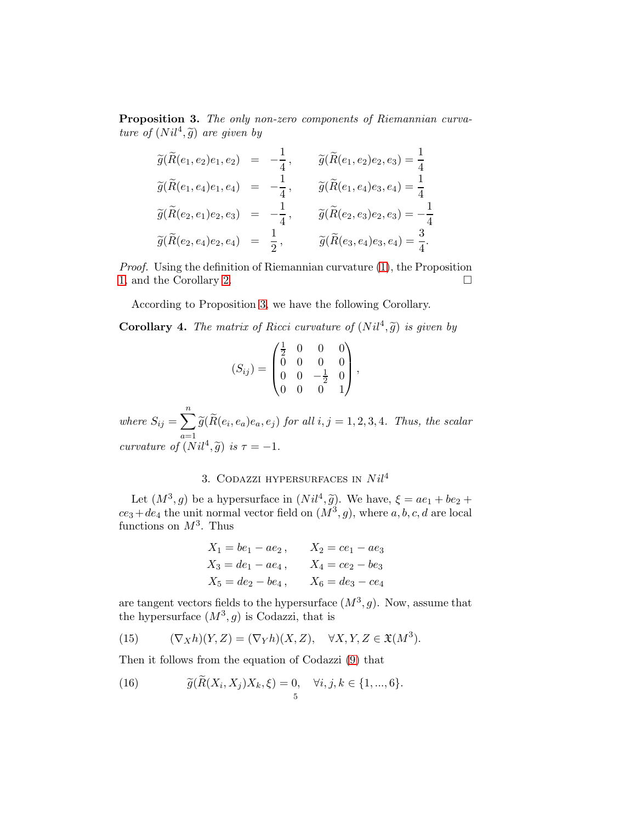<span id="page-4-0"></span>Proposition 3. The only non-zero components of Riemannian curvature of  $(Nil^4, \tilde{g})$  are given by

$$
\widetilde{g}(\widetilde{R}(e_1, e_2)e_1, e_2) = -\frac{1}{4}, \qquad \widetilde{g}(\widetilde{R}(e_1, e_2)e_2, e_3) = \frac{1}{4}
$$
  

$$
\widetilde{g}(\widetilde{R}(e_1, e_4)e_1, e_4) = -\frac{1}{4}, \qquad \widetilde{g}(\widetilde{R}(e_1, e_4)e_3, e_4) = \frac{1}{4}
$$
  

$$
\widetilde{g}(\widetilde{R}(e_2, e_1)e_2, e_3) = -\frac{1}{4}, \qquad \widetilde{g}(\widetilde{R}(e_2, e_3)e_2, e_3) = -\frac{1}{4}
$$
  

$$
\widetilde{g}(\widetilde{R}(e_2, e_4)e_2, e_4) = \frac{1}{2}, \qquad \widetilde{g}(\widetilde{R}(e_3, e_4)e_3, e_4) = \frac{3}{4}.
$$

Proof. Using the definition of Riemannian curvature [\(1\)](#page-0-1), the Proposition [1,](#page-3-0) and the Corollary [2.](#page-3-1)

According to Proposition [3,](#page-4-0) we have the following Corollary.

**Corollary 4.** The matrix of Ricci curvature of  $(Nil^4, \tilde{g})$  is given by

$$
(S_{ij}) = \begin{pmatrix} \frac{1}{2} & 0 & 0 & 0 \\ 0 & 0 & 0 & 0 \\ 0 & 0 & -\frac{1}{2} & 0 \\ 0 & 0 & 0 & 1 \end{pmatrix},
$$

where  $S_{ij} = \sum_{i=1}^{n}$  $\sum_{a=1} \widetilde{g}(R(e_i, e_a)e_a, e_j)$  for all  $i, j = 1, 2, 3, 4$ . Thus, the scalar curvature of  $(Nil^4, \tilde{g})$  is  $\tau = -1$ .

# 3. CODAZZI HYPERSURFACES IN  $Nil^4$

Let  $(M^3, g)$  be a hypersurface in  $(Nil^4, \tilde{g})$ . We have,  $\xi = ae_1 + be_2 +$  $ce_3 + de_4$  the unit normal vector field on  $(M^3, g)$ , where  $a, b, c, d$  are local functions on  $M^3$ . Thus

$$
X_1 = be_1 - ae_2, \t X_2 = ce_1 - ae_3
$$
  
\n
$$
X_3 = de_1 - ae_4, \t X_4 = ce_2 - be_3
$$
  
\n
$$
X_5 = de_2 - be_4, \t X_6 = de_3 - ce_4
$$

are tangent vectors fields to the hypersurface  $(M^3, g)$ . Now, assume that the hypersurface  $(M^3, g)$  is Codazzi, that is

(15) 
$$
(\nabla_X h)(Y,Z) = (\nabla_Y h)(X,Z), \quad \forall X, Y, Z \in \mathfrak{X}(M^3).
$$

Then it follows from the equation of Codazzi [\(9\)](#page-1-0) that

(16) 
$$
\widetilde{g}(\widetilde{R}(X_i, X_j)X_k, \xi) = 0, \quad \forall i, j, k \in \{1, ..., 6\}.
$$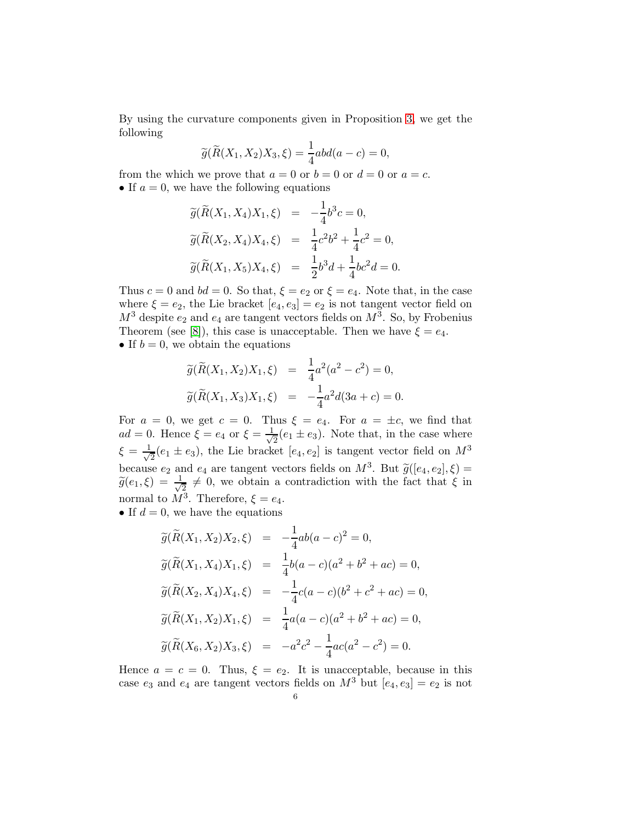By using the curvature components given in Proposition [3,](#page-4-0) we get the following

$$
\widetilde{g}(\widetilde{R}(X_1, X_2)X_3, \xi) = \frac{1}{4}abd(a-c) = 0,
$$

from the which we prove that  $a = 0$  or  $b = 0$  or  $d = 0$  or  $a = c$ . • If  $a = 0$ , we have the following equations

$$
\widetilde{g}(\widetilde{R}(X_1, X_4)X_1, \xi) = -\frac{1}{4}b^3c = 0,
$$
  
\n
$$
\widetilde{g}(\widetilde{R}(X_2, X_4)X_4, \xi) = \frac{1}{4}c^2b^2 + \frac{1}{4}c^2 = 0,
$$
  
\n
$$
\widetilde{g}(\widetilde{R}(X_1, X_5)X_4, \xi) = \frac{1}{2}b^3d + \frac{1}{4}bc^2d = 0.
$$

Thus  $c = 0$  and  $bd = 0$ . So that,  $\xi = e_2$  or  $\xi = e_4$ . Note that, in the case where  $\xi = e_2$ , the Lie bracket  $[e_4, e_3] = e_2$  is not tangent vector field on  $M^3$  despite  $e_2$  and  $e_4$  are tangent vectors fields on  $M^3$ . So, by Frobenius Theorem (see [\[8\]](#page-8-1)), this case is unacceptable. Then we have  $\xi = e_4$ . • If  $b = 0$ , we obtain the equations

$$
\widetilde{g}(\widetilde{R}(X_1, X_2)X_1, \xi) = \frac{1}{4}a^2(a^2 - c^2) = 0,
$$
  

$$
\widetilde{g}(\widetilde{R}(X_1, X_3)X_1, \xi) = -\frac{1}{4}a^2d(3a + c) = 0.
$$

For  $a = 0$ , we get  $c = 0$ . Thus  $\xi = e_4$ . For  $a = \pm c$ , we find that  $ad = 0$ . Hence  $\xi = e_4$  or  $\xi = \frac{1}{\sqrt{2}}$  $\frac{1}{2}(e_1 \pm e_3)$ . Note that, in the case where  $\xi = \frac{1}{\sqrt{2}}$  $\frac{1}{2}(e_1 \pm e_3)$ , the Lie bracket  $[e_4, e_2]$  is tangent vector field on  $M^3$ because  $e_2$  and  $e_4$  are tangent vectors fields on  $M^3$ . But  $\widetilde{g}([e_4, e_2], \xi) =$  $\widetilde{g}(e_1,\xi) = \frac{1}{\sqrt{2}}$  $\frac{1}{2} \neq 0$ , we obtain a contradiction with the fact that  $\xi$  in normal to  $M^3$ . Therefore,  $\xi = e_4$ .

• If  $d = 0$ , we have the equations

$$
\widetilde{g}(\widetilde{R}(X_1, X_2)X_2, \xi) = -\frac{1}{4}ab(a-c)^2 = 0,
$$
  
\n
$$
\widetilde{g}(\widetilde{R}(X_1, X_4)X_1, \xi) = \frac{1}{4}b(a-c)(a^2 + b^2 + ac) = 0,
$$
  
\n
$$
\widetilde{g}(\widetilde{R}(X_2, X_4)X_4, \xi) = -\frac{1}{4}c(a-c)(b^2 + c^2 + ac) = 0,
$$
  
\n
$$
\widetilde{g}(\widetilde{R}(X_1, X_2)X_1, \xi) = \frac{1}{4}a(a-c)(a^2 + b^2 + ac) = 0,
$$
  
\n
$$
\widetilde{g}(\widetilde{R}(X_6, X_2)X_3, \xi) = -a^2c^2 - \frac{1}{4}ac(a^2 - c^2) = 0.
$$

Hence  $a = c = 0$ . Thus,  $\xi = e_2$ . It is unacceptable, because in this case  $e_3$  and  $e_4$  are tangent vectors fields on  $M^3$  but  $[e_4, e_3] = e_2$  is not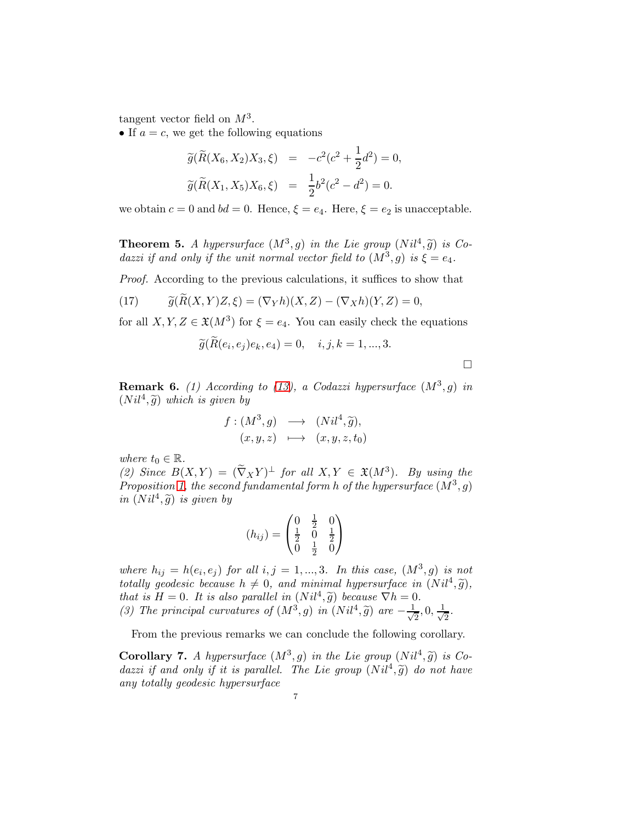tangent vector field on  $M^3$ .

• If  $a = c$ , we get the following equations

$$
\widetilde{g}(\widetilde{R}(X_6, X_2)X_3, \xi) = -c^2(c^2 + \frac{1}{2}d^2) = 0,
$$
  

$$
\widetilde{g}(\widetilde{R}(X_1, X_5)X_6, \xi) = \frac{1}{2}b^2(c^2 - d^2) = 0.
$$

we obtain  $c = 0$  and  $bd = 0$ . Hence,  $\xi = e_4$ . Here,  $\xi = e_2$  is unacceptable.

**Theorem 5.** A hypersurface  $(M^3, g)$  in the Lie group  $(Nil^4, \tilde{g})$  is Codazzi if and only if the unit normal vector field to  $(M^3, g)$  is  $\xi = e_4$ .

Proof. According to the previous calculations, it suffices to show that

(17) 
$$
\widetilde{g}(R(X,Y)Z,\xi) = (\nabla_Y h)(X,Z) - (\nabla_X h)(Y,Z) = 0,
$$

for all  $X, Y, Z \in \mathfrak{X}(M^3)$  for  $\xi = e_4$ . You can easily check the equations

$$
\widetilde{g}(\widetilde{R}(e_i,e_j)e_k,e_4)=0, \quad i,j,k=1,...,3.
$$

 $\Box$ 

**Remark 6.** (1) According to [\(13\)](#page-2-0), a Codazzi hypersurface  $(M^3, g)$  in  $(Nil^4, \tilde{g})$  which is given by

$$
f: (M^3, g) \longrightarrow (Nil^4, \widetilde{g}),
$$
  

$$
(x, y, z) \longmapsto (x, y, z, t_0)
$$

where  $t_0 \in \mathbb{R}$ .

(2) Since  $B(X,Y) = (\tilde{\nabla}_X Y)^{\perp}$  for all  $X, Y \in \mathfrak{X}(M^3)$ . By using the Proposition [1,](#page-3-0) the second fundamental form h of the hypersurface  $(M^3, g)$ in  $(Nil^4, \tilde{g})$  is given by

$$
(h_{ij}) = \begin{pmatrix} 0 & \frac{1}{2} & 0 \\ \frac{1}{2} & 0 & \frac{1}{2} \\ 0 & \frac{1}{2} & 0 \end{pmatrix}
$$

where  $h_{ij} = h(e_i, e_j)$  for all  $i, j = 1, ..., 3$ . In this case,  $(M^3, g)$  is not totally geodesic because  $h \neq 0$ , and minimal hypersurface in  $(Nil^4, \tilde{g})$ , that is  $H = 0$ . It is also parallel in  $(Nil^4, \tilde{g})$  because  $\nabla h = 0$ . (3) The principal curvatures of  $(M^3, g)$  in  $(Nil^4, \tilde{g})$  are  $-\frac{1}{\sqrt{2}}$  $\frac{1}{2}, 0, \frac{1}{\sqrt{2}}$  $\frac{1}{2}$ .

From the previous remarks we can conclude the following corollary.

**Corollary 7.** A hypersurface  $(M^3, g)$  in the Lie group  $(Nil^4, \tilde{g})$  is Codazzi if and only if it is parallel. The Lie group  $(Nil^4, \tilde{g})$  do not have any totally geodesic hypersurface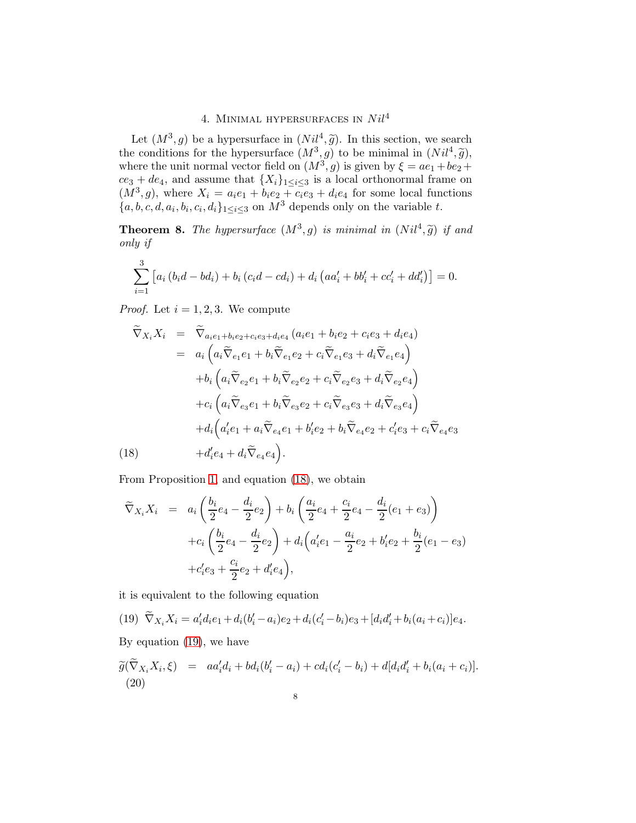# 4. MINIMAL HYPERSURFACES IN  $Nil<sup>4</sup>$

Let  $(M^3, g)$  be a hypersurface in  $(Nil^4, \tilde{g})$ . In this section, we search<br>the conditions for the hypersurface  $(M^3, g)$  to be minimal in  $(Nil^4, \tilde{g})$ ,<br>where the unit normal vector field on  $(M^3, g)$  is given by  $\xi = ae_1 + be$  $ce_3 + de_4$ , and assume that  $\{X_i\}_{1 \leq i \leq 3}$  is a local orthonormal frame on  $(M^3, g)$ , where  $X_i = a_i e_1 + b_i e_2 + c_i e_3 + d_i e_4$  for some local functions  $\{a, b, c, d, a_i, b_i, c_i, d_i\}_{1 \leq i \leq 3}$  on  $M^3$  depends only on the variable t.

<span id="page-7-2"></span>**Theorem 8.** The hypersurface  $(M^3, g)$  is minimal in  $(Nil^4, \tilde{g})$  if and only if

$$
\sum_{i=1}^{3} [a_i (b_i d - b d_i) + b_i (c_i d - c d_i) + d_i (a a'_i + b b'_i + c c'_i + d d'_i)] = 0.
$$

*Proof.* Let  $i = 1, 2, 3$ . We compute

<span id="page-7-0"></span>
$$
\widetilde{\nabla}_{X_i} X_i = \widetilde{\nabla}_{a_i e_1 + b_i e_2 + c_i e_3 + d_i e_4} (a_i e_1 + b_i e_2 + c_i e_3 + d_i e_4)
$$
\n
$$
= a_i \left( a_i \widetilde{\nabla}_{e_1} e_1 + b_i \widetilde{\nabla}_{e_1} e_2 + c_i \widetilde{\nabla}_{e_1} e_3 + d_i \widetilde{\nabla}_{e_1} e_4 \right)
$$
\n
$$
+ b_i \left( a_i \widetilde{\nabla}_{e_2} e_1 + b_i \widetilde{\nabla}_{e_2} e_2 + c_i \widetilde{\nabla}_{e_2} e_3 + d_i \widetilde{\nabla}_{e_2} e_4 \right)
$$
\n
$$
+ c_i \left( a_i \widetilde{\nabla}_{e_3} e_1 + b_i \widetilde{\nabla}_{e_3} e_2 + c_i \widetilde{\nabla}_{e_3} e_3 + d_i \widetilde{\nabla}_{e_3} e_4 \right)
$$
\n
$$
+ d_i \left( a_i' e_1 + a_i \widetilde{\nabla}_{e_4} e_1 + b_i' e_2 + b_i \widetilde{\nabla}_{e_4} e_2 + c_i' e_3 + c_i \widetilde{\nabla}_{e_4} e_3 \right)
$$
\n(18)

From Proposition [1,](#page-3-0) and equation [\(18\)](#page-7-0), we obtain

$$
\widetilde{\nabla}_{X_i} X_i = a_i \left( \frac{b_i}{2} e_4 - \frac{d_i}{2} e_2 \right) + b_i \left( \frac{a_i}{2} e_4 + \frac{c_i}{2} e_4 - \frac{d_i}{2} (e_1 + e_3) \right)
$$
  
+ 
$$
c_i \left( \frac{b_i}{2} e_4 - \frac{d_i}{2} e_2 \right) + d_i \left( a_i' e_1 - \frac{a_i}{2} e_2 + b_i' e_2 + \frac{b_i}{2} (e_1 - e_3) \right)
$$
  
+ 
$$
c_i' e_3 + \frac{c_i}{2} e_2 + d_i' e_4 \right),
$$

it is equivalent to the following equation

(19) 
$$
\widetilde{\nabla}_{X_i} X_i = a'_i d_i e_1 + d_i (b'_i - a_i) e_2 + d_i (c'_i - b_i) e_3 + [d_i d'_i + b_i (a_i + c_i)] e_4.
$$

By equation [\(19\)](#page-7-1), we have

<span id="page-7-1"></span> $\mathbf{r}$ 

<span id="page-7-3"></span>
$$
\widetilde{g}(\widetilde{\nabla}_{X_i} X_i, \xi) = a a'_i d_i + b d_i (b'_i - a_i) + c d_i (c'_i - b_i) + d [d_i d'_i + b_i (a_i + c_i)].
$$
\n(20)